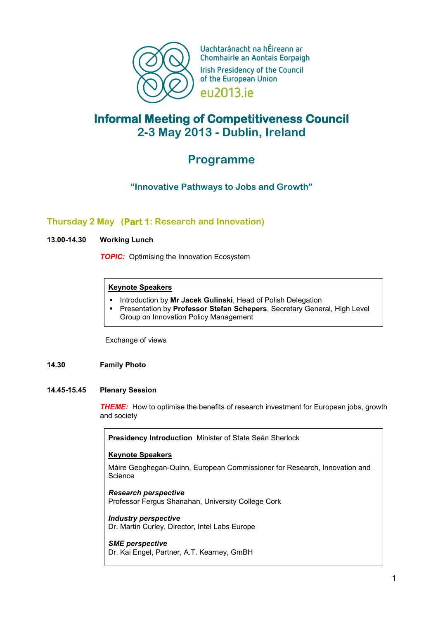

Uachtaránacht na hÉireann ar Chomhairle an Aontais Eorpaigh **Irish Presidency of the Council** of the European Union eu2013.je

# **Informal Meeting of Competitiveness Council 2-3 May 2013 - Dublin, Ireland**

# **Programme**

# **"Innovative Pathways to Jobs and Growth"**

# **Thursday 2 May (Part 1: Research and Innovation)**

# **13.00-14.30 Working Lunch**

**TOPIC:** Optimising the Innovation Ecosystem

# **Keynote Speakers**

- **Introduction by Mr Jacek Gulinski**, Head of Polish Delegation
- Presentation by **Professor Stefan Schepers**, Secretary General, High Level Group on Innovation Policy Management

Exchange of views

# **14.30 Family Photo**

# **14.45-15.45 Plenary Session**

*THEME:* How to optimise the benefits of research investment for European jobs, growth and society

**Presidency Introduction** Minister of State Seán Sherlock

# **Keynote Speakers**

Máire Geoghegan-Quinn, European Commissioner for Research, Innovation and **Science** 

*Research perspective* Professor Fergus Shanahan, University College Cork

*Industry perspective* Dr. Martin Curley, Director, Intel Labs Europe

*SME perspective*  Dr. Kai Engel, Partner, A.T. Kearney, GmBH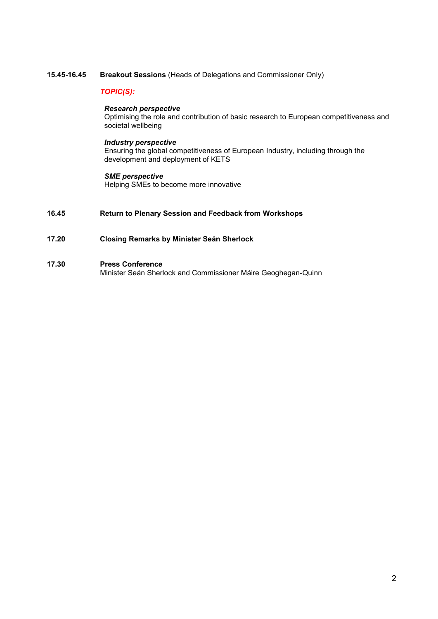### **15.45-16.45 Breakout Sessions** (Heads of Delegations and Commissioner Only)

# *TOPIC(S):*

# *Research perspective*

Optimising the role and contribution of basic research to European competitiveness and societal wellbeing

### *Industry perspective*

Ensuring the global competitiveness of European Industry, including through the development and deployment of KETS

### *SME perspective*

Helping SMEs to become more innovative

# **16.45 Return to Plenary Session and Feedback from Workshops**

# **17.20 Closing Remarks by Minister Seán Sherlock**

### **17.30 Press Conference**

Minister Seán Sherlock and Commissioner Máire Geoghegan-Quinn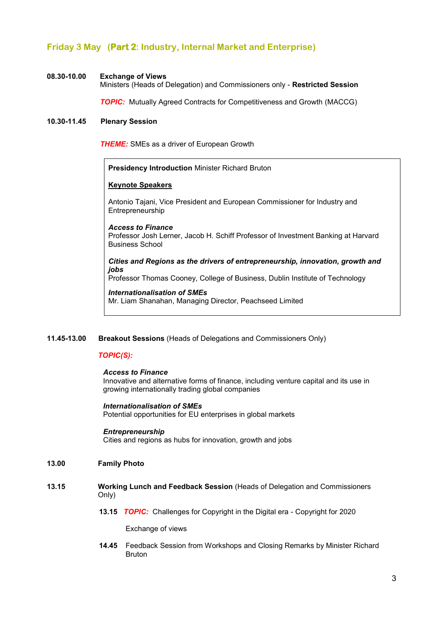# **Friday 3 May (Part 2: Industry, Internal Market and Enterprise)**

### **08.30-10.00 Exchange of Views**

Ministers (Heads of Delegation) and Commissioners only - **Restricted Session**

 *TOPIC:* Mutually Agreed Contracts for Competitiveness and Growth (MACCG)

### **10.30-11.45 Plenary Session**

*THEME:* SMEs as a driver of European Growth

**Presidency Introduction** Minister Richard Bruton

### **Keynote Speakers**

Antonio Tajani, Vice President and European Commissioner for Industry and Entrepreneurship

#### *Access to Finance*

Professor Josh Lerner, Jacob H. Schiff Professor of Investment Banking at Harvard Business School

*Cities and Regions as the drivers of entrepreneurship, innovation, growth and jobs*

Professor Thomas Cooney, College of Business, Dublin Institute of Technology

# *Internationalisation of SMEs* Mr. Liam Shanahan, Managing Director, Peachseed Limited

# **11.45-13.00 Breakout Sessions** (Heads of Delegations and Commissioners Only)

# *TOPIC(S):*

### *Access to Finance*

Innovative and alternative forms of finance, including venture capital and its use in growing internationally trading global companies

### *Internationalisation of SMEs*

Potential opportunities for EU enterprises in global markets

### *Entrepreneurship*

Cities and regions as hubs for innovation, growth and jobs

# **13.00 Family Photo**

### **13.15 Working Lunch and Feedback Session** (Heads of Delegation and Commissioners Only)

**13.15** *TOPIC:* Challenges for Copyright in the Digital era - Copyright for 2020

Exchange of views

**14.45** Feedback Session from Workshops and Closing Remarks by Minister Richard Bruton